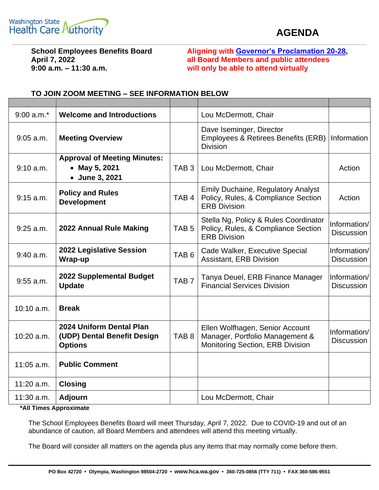

## **AGENDA**

**9:00 a.m. – 11:30 a.m. will only be able to attend virtually**

**School Employees Benefits Board Aligning with [Governor's Proclamation 20-28,](https://www.governor.wa.gov/sites/default/files/proclamations/20-28%20-%20COVID-19%20Open%20Govt%20Laws%20Waivers%20%28tmp%29.pdf) April 7, 2022 all Board Members and public attendees**

| $9:00$ a.m. <sup>*</sup> | <b>Welcome and Introductions</b>                                          |                  | Lou McDermott, Chair                                                                                    |                                   |
|--------------------------|---------------------------------------------------------------------------|------------------|---------------------------------------------------------------------------------------------------------|-----------------------------------|
| $9:05$ a.m.              | <b>Meeting Overview</b>                                                   |                  | Dave Iseminger, Director<br>Employees & Retirees Benefits (ERB)<br><b>Division</b>                      | Information                       |
| 9:10 a.m.                | <b>Approval of Meeting Minutes:</b><br>• May 5, 2021<br>• June 3, 2021    | TAB <sub>3</sub> | Lou McDermott, Chair                                                                                    | Action                            |
| $9:15$ a.m.              | <b>Policy and Rules</b><br><b>Development</b>                             | TAB <sub>4</sub> | <b>Emily Duchaine, Regulatory Analyst</b><br>Policy, Rules, & Compliance Section<br><b>ERB Division</b> | Action                            |
| $9:25$ a.m.              | 2022 Annual Rule Making                                                   | TAB <sub>5</sub> | Stella Ng, Policy & Rules Coordinator<br>Policy, Rules, & Compliance Section<br><b>ERB Division</b>     | Information/<br><b>Discussion</b> |
| $9:40$ a.m.              | 2022 Legislative Session<br>Wrap-up                                       | TAB <sub>6</sub> | Cade Walker, Executive Special<br>Assistant, ERB Division                                               | Information/<br><b>Discussion</b> |
| $9:55$ a.m.              | <b>2022 Supplemental Budget</b><br><b>Update</b>                          | TAB <sub>7</sub> | Tanya Deuel, ERB Finance Manager<br><b>Financial Services Division</b>                                  | Information/<br><b>Discussion</b> |
| $10:10$ a.m.             | <b>Break</b>                                                              |                  |                                                                                                         |                                   |
| 10:20 a.m.               | 2024 Uniform Dental Plan<br>(UDP) Dental Benefit Design<br><b>Options</b> | TAB <sub>8</sub> | Ellen Wolfhagen, Senior Account<br>Manager, Portfolio Management &<br>Monitoring Section, ERB Division  | Information/<br><b>Discussion</b> |
| $11:05$ a.m.             | <b>Public Comment</b>                                                     |                  |                                                                                                         |                                   |
| $11:20$ a.m.             | <b>Closing</b>                                                            |                  |                                                                                                         |                                   |
| $11:30$ a.m.             | <b>Adjourn</b>                                                            |                  | Lou McDermott, Chair                                                                                    |                                   |

## **TO JOIN ZOOM MEETING – SEE INFORMATION BELOW**

**\*All Times Approximate**

The School Employees Benefits Board will meet Thursday, April 7, 2022. Due to COVID-19 and out of an abundance of caution, all Board Members and attendees will attend this meeting virtually.

The Board will consider all matters on the agenda plus any items that may normally come before them.